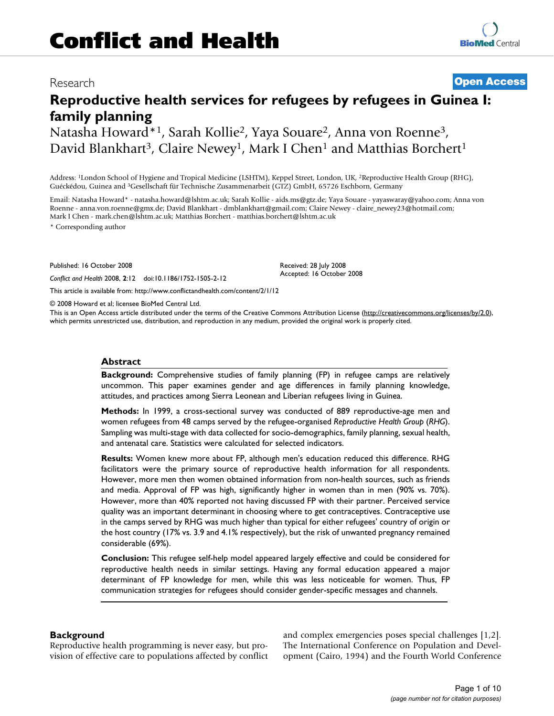## Research **[Open Access](http://www.biomedcentral.com/info/about/charter/)**

# **Reproductive health services for refugees by refugees in Guinea I: family planning**

Natasha Howard\*1, Sarah Kollie2, Yaya Souare2, Anna von Roenne3, David Blankhart<sup>3</sup>, Claire Newey<sup>1</sup>, Mark I Chen<sup>1</sup> and Matthias Borchert<sup>1</sup>

Address: 1London School of Hygiene and Tropical Medicine (LSHTM), Keppel Street, London, UK, 2Reproductive Health Group (RHG), Guéckédou, Guinea and 3Gesellschaft für Technische Zusammenarbeit (GTZ) GmbH, 65726 Eschborn, Germany

Email: Natasha Howard\* - natasha.howard@lshtm.ac.uk; Sarah Kollie - aids.ms@gtz.de; Yaya Souare - yayaswaray@yahoo.com; Anna von Roenne - anna.von.roenne@gmx.de; David Blankhart - dmblankhart@gmail.com; Claire Newey - claire\_newey23@hotmail.com; Mark I Chen - mark.chen@lshtm.ac.uk; Matthias Borchert - matthias.borchert@lshtm.ac.uk

\* Corresponding author

Published: 16 October 2008

*Conflict and Health* 2008, **2**:12 doi:10.1186/1752-1505-2-12

[This article is available from: http://www.conflictandhealth.com/content/2/1/12](http://www.conflictandhealth.com/content/2/1/12)

© 2008 Howard et al; licensee BioMed Central Ltd.

This is an Open Access article distributed under the terms of the Creative Commons Attribution License [\(http://creativecommons.org/licenses/by/2.0\)](http://creativecommons.org/licenses/by/2.0), which permits unrestricted use, distribution, and reproduction in any medium, provided the original work is properly cited.

Received: 28 July 2008 Accepted: 16 October 2008

#### **Abstract**

**Background:** Comprehensive studies of family planning (FP) in refugee camps are relatively uncommon. This paper examines gender and age differences in family planning knowledge, attitudes, and practices among Sierra Leonean and Liberian refugees living in Guinea.

**Methods:** In 1999, a cross-sectional survey was conducted of 889 reproductive-age men and women refugees from 48 camps served by the refugee-organised *Reproductive Health Group* (*RHG*). Sampling was multi-stage with data collected for socio-demographics, family planning, sexual health, and antenatal care. Statistics were calculated for selected indicators.

**Results:** Women knew more about FP, although men's education reduced this difference. RHG facilitators were the primary source of reproductive health information for all respondents. However, more men then women obtained information from non-health sources, such as friends and media. Approval of FP was high, significantly higher in women than in men (90% vs. 70%). However, more than 40% reported not having discussed FP with their partner. Perceived service quality was an important determinant in choosing where to get contraceptives. Contraceptive use in the camps served by RHG was much higher than typical for either refugees' country of origin or the host country (17% vs. 3.9 and 4.1% respectively), but the risk of unwanted pregnancy remained considerable (69%).

**Conclusion:** This refugee self-help model appeared largely effective and could be considered for reproductive health needs in similar settings. Having any formal education appeared a major determinant of FP knowledge for men, while this was less noticeable for women. Thus, FP communication strategies for refugees should consider gender-specific messages and channels.

## **Background**

Reproductive health programming is never easy, but provision of effective care to populations affected by conflict and complex emergencies poses special challenges [1,2]. The International Conference on Population and Development (Cairo, 1994) and the Fourth World Conference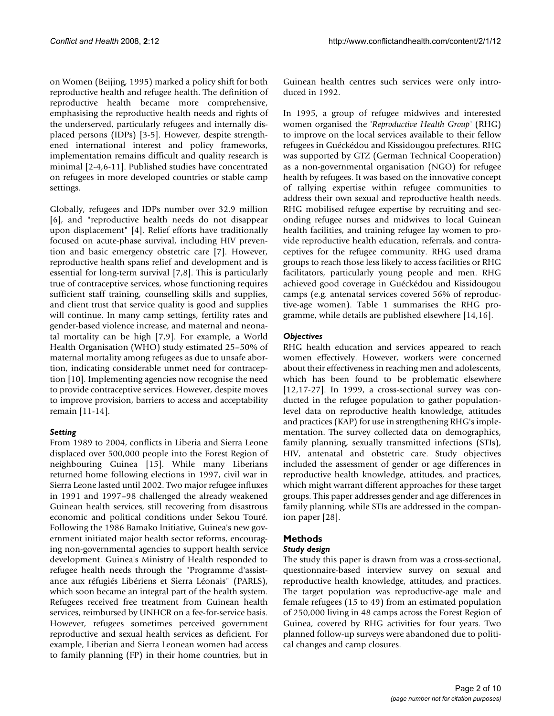on Women (Beijing, 1995) marked a policy shift for both reproductive health and refugee health. The definition of reproductive health became more comprehensive, emphasising the reproductive health needs and rights of the underserved, particularly refugees and internally displaced persons (IDPs) [3-5]. However, despite strengthened international interest and policy frameworks, implementation remains difficult and quality research is minimal [2-4,6-11]. Published studies have concentrated on refugees in more developed countries or stable camp settings.

Globally, refugees and IDPs number over 32.9 million [6], and "reproductive health needs do not disappear upon displacement" [4]. Relief efforts have traditionally focused on acute-phase survival, including HIV prevention and basic emergency obstetric care [7]. However, reproductive health spans relief and development and is essential for long-term survival [7,8]. This is particularly true of contraceptive services, whose functioning requires sufficient staff training, counselling skills and supplies, and client trust that service quality is good and supplies will continue. In many camp settings, fertility rates and gender-based violence increase, and maternal and neonatal mortality can be high [7,9]. For example, a World Health Organisation (WHO) study estimated 25–50% of maternal mortality among refugees as due to unsafe abortion, indicating considerable unmet need for contraception [10]. Implementing agencies now recognise the need to provide contraceptive services. However, despite moves to improve provision, barriers to access and acceptability remain [11-14].

## *Setting*

From 1989 to 2004, conflicts in Liberia and Sierra Leone displaced over 500,000 people into the Forest Region of neighbouring Guinea [15]. While many Liberians returned home following elections in 1997, civil war in Sierra Leone lasted until 2002. Two major refugee influxes in 1991 and 1997–98 challenged the already weakened Guinean health services, still recovering from disastrous economic and political conditions under Sekou Touré. Following the 1986 Bamako Initiative, Guinea's new government initiated major health sector reforms, encouraging non-governmental agencies to support health service development. Guinea's Ministry of Health responded to refugee health needs through the "Programme d'assistance aux réfugiés Libériens et Sierra Léonais" (PARLS), which soon became an integral part of the health system. Refugees received free treatment from Guinean health services, reimbursed by UNHCR on a fee-for-service basis. However, refugees sometimes perceived government reproductive and sexual health services as deficient. For example, Liberian and Sierra Leonean women had access to family planning (FP) in their home countries, but in Guinean health centres such services were only introduced in 1992.

In 1995, a group of refugee midwives and interested women organised the '*Reproductive Health Group'* (RHG) to improve on the local services available to their fellow refugees in Guéckédou and Kissidougou prefectures. RHG was supported by GTZ (German Technical Cooperation) as a non-governmental organisation (NGO) for refugee health by refugees. It was based on the innovative concept of rallying expertise within refugee communities to address their own sexual and reproductive health needs. RHG mobilised refugee expertise by recruiting and seconding refugee nurses and midwives to local Guinean health facilities, and training refugee lay women to provide reproductive health education, referrals, and contraceptives for the refugee community. RHG used drama groups to reach those less likely to access facilities or RHG facilitators, particularly young people and men. RHG achieved good coverage in Guéckédou and Kissidougou camps (e.g. antenatal services covered 56% of reproductive-age women). Table 1 summarises the RHG programme, while details are published elsewhere [14,16].

## *Objectives*

RHG health education and services appeared to reach women effectively. However, workers were concerned about their effectiveness in reaching men and adolescents, which has been found to be problematic elsewhere [12,17-27]. In 1999, a cross-sectional survey was conducted in the refugee population to gather populationlevel data on reproductive health knowledge, attitudes and practices (KAP) for use in strengthening RHG's implementation. The survey collected data on demographics, family planning, sexually transmitted infections (STIs), HIV, antenatal and obstetric care. Study objectives included the assessment of gender or age differences in reproductive health knowledge, attitudes, and practices, which might warrant different approaches for these target groups. This paper addresses gender and age differences in family planning, while STIs are addressed in the companion paper [28].

## **Methods**

## *Study design*

The study this paper is drawn from was a cross-sectional, questionnaire-based interview survey on sexual and reproductive health knowledge, attitudes, and practices. The target population was reproductive-age male and female refugees (15 to 49) from an estimated population of 250,000 living in 48 camps across the Forest Region of Guinea, covered by RHG activities for four years. Two planned follow-up surveys were abandoned due to political changes and camp closures.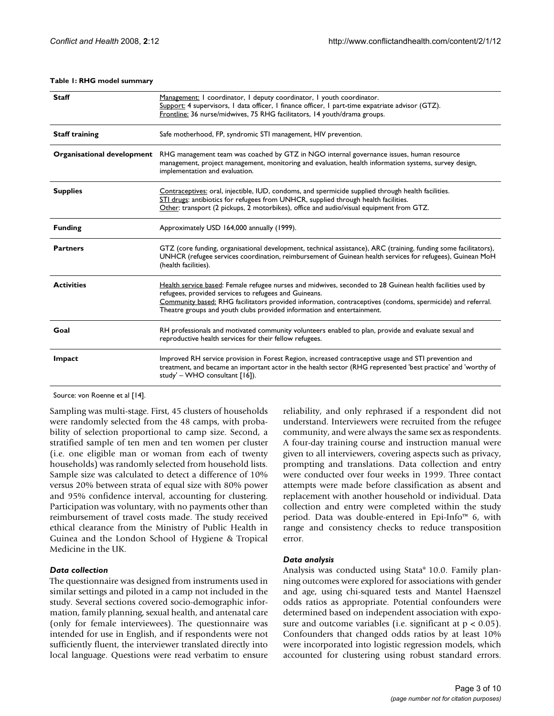| <b>Staff</b>               | Management: I coordinator, I deputy coordinator, I youth coordinator.<br>Support: 4 supervisors, I data officer, I finance officer, I part-time expatriate advisor (GTZ).<br>Frontline: 36 nurse/midwives, 75 RHG facilitators, 14 youth/drama groups.                                                                                                      |
|----------------------------|-------------------------------------------------------------------------------------------------------------------------------------------------------------------------------------------------------------------------------------------------------------------------------------------------------------------------------------------------------------|
| <b>Staff training</b>      | Safe motherhood, FP, syndromic STI management, HIV prevention.                                                                                                                                                                                                                                                                                              |
| Organisational development | RHG management team was coached by GTZ in NGO internal governance issues, human resource<br>management, project management, monitoring and evaluation, health information systems, survey design,<br>implementation and evaluation.                                                                                                                         |
| <b>Supplies</b>            | Contraceptives: oral, injectible, IUD, condoms, and spermicide supplied through health facilities.<br>STI drugs: antibiotics for refugees from UNHCR, supplied through health facilities.<br>Other: transport (2 pickups, 2 motorbikes), office and audio/visual equipment from GTZ.                                                                        |
| <b>Funding</b>             | Approximately USD 164,000 annually (1999).                                                                                                                                                                                                                                                                                                                  |
| <b>Partners</b>            | GTZ (core funding, organisational development, technical assistance), ARC (training, funding some facilitators),<br>UNHCR (refugee services coordination, reimbursement of Guinean health services for refugees), Guinean MoH<br>(health facilities).                                                                                                       |
| <b>Activities</b>          | Health service based: Female refugee nurses and midwives, seconded to 28 Guinean health facilities used by<br>refugees, provided services to refugees and Guineans.<br>Community based: RHG facilitators provided information, contraceptives (condoms, spermicide) and referral.<br>Theatre groups and youth clubs provided information and entertainment. |
| Goal                       | RH professionals and motivated community volunteers enabled to plan, provide and evaluate sexual and<br>reproductive health services for their fellow refugees.                                                                                                                                                                                             |
| Impact                     | Improved RH service provision in Forest Region, increased contraceptive usage and STI prevention and<br>treatment, and became an important actor in the health sector (RHG represented 'best practice' and 'worthy of<br>study' - WHO consultant [16]).                                                                                                     |

#### **Table 1: RHG model summary**

Source: von Roenne et al [14].

Sampling was multi-stage. First, 45 clusters of households were randomly selected from the 48 camps, with probability of selection proportional to camp size. Second, a stratified sample of ten men and ten women per cluster (i.e. one eligible man or woman from each of twenty households) was randomly selected from household lists. Sample size was calculated to detect a difference of 10% versus 20% between strata of equal size with 80% power and 95% confidence interval, accounting for clustering. Participation was voluntary, with no payments other than reimbursement of travel costs made. The study received ethical clearance from the Ministry of Public Health in Guinea and the London School of Hygiene & Tropical Medicine in the UK.

## *Data collection*

The questionnaire was designed from instruments used in similar settings and piloted in a camp not included in the study. Several sections covered socio-demographic information, family planning, sexual health, and antenatal care (only for female interviewees). The questionnaire was intended for use in English, and if respondents were not sufficiently fluent, the interviewer translated directly into local language. Questions were read verbatim to ensure

reliability, and only rephrased if a respondent did not understand. Interviewers were recruited from the refugee community, and were always the same sex as respondents. A four-day training course and instruction manual were given to all interviewers, covering aspects such as privacy, prompting and translations. Data collection and entry were conducted over four weeks in 1999. Three contact attempts were made before classification as absent and replacement with another household or individual. Data collection and entry were completed within the study period. Data was double-entered in Epi-Info™ 6, with range and consistency checks to reduce transposition error.

#### *Data analysis*

Analysis was conducted using Stata® 10.0. Family planning outcomes were explored for associations with gender and age, using chi-squared tests and Mantel Haenszel odds ratios as appropriate. Potential confounders were determined based on independent association with exposure and outcome variables (i.e. significant at  $p < 0.05$ ). Confounders that changed odds ratios by at least 10% were incorporated into logistic regression models, which accounted for clustering using robust standard errors.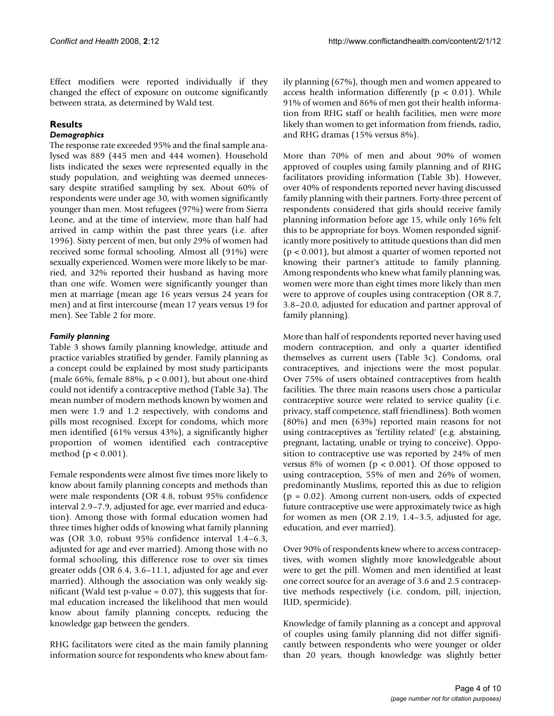Effect modifiers were reported individually if they changed the effect of exposure on outcome significantly between strata, as determined by Wald test.

## **Results**

## *Demographics*

The response rate exceeded 95% and the final sample analysed was 889 (445 men and 444 women). Household lists indicated the sexes were represented equally in the study population, and weighting was deemed unnecessary despite stratified sampling by sex. About 60% of respondents were under age 30, with women significantly younger than men. Most refugees (97%) were from Sierra Leone, and at the time of interview, more than half had arrived in camp within the past three years (i.e. after 1996). Sixty percent of men, but only 29% of women had received some formal schooling. Almost all (91%) were sexually experienced. Women were more likely to be married, and 32% reported their husband as having more than one wife. Women were significantly younger than men at marriage (mean age 16 years versus 24 years for men) and at first intercourse (mean 17 years versus 19 for men). See Table 2 for more.

## *Family planning*

Table 3 shows family planning knowledge, attitude and practice variables stratified by gender. Family planning as a concept could be explained by most study participants (male 66%, female 88%,  $p < 0.001$ ), but about one-third could not identify a contraceptive method (Table 3a). The mean number of modern methods known by women and men were 1.9 and 1.2 respectively, with condoms and pills most recognised. Except for condoms, which more men identified (61% versus 43%), a significantly higher proportion of women identified each contraceptive method (p < 0.001).

Female respondents were almost five times more likely to know about family planning concepts and methods than were male respondents (OR 4.8, robust 95% confidence interval 2.9–7.9, adjusted for age, ever married and education). Among those with formal education women had three times higher odds of knowing what family planning was (OR 3.0, robust 95% confidence interval 1.4–6.3, adjusted for age and ever married). Among those with no formal schooling, this difference rose to over six times greater odds (OR 6.4, 3.6–11.1, adjusted for age and ever married). Although the association was only weakly significant (Wald test p-value  $= 0.07$ ), this suggests that formal education increased the likelihood that men would know about family planning concepts, reducing the knowledge gap between the genders.

RHG facilitators were cited as the main family planning information source for respondents who knew about family planning (67%), though men and women appeared to access health information differently ( $p < 0.01$ ). While 91% of women and 86% of men got their health information from RHG staff or health facilities, men were more likely than women to get information from friends, radio, and RHG dramas (15% versus 8%).

More than 70% of men and about 90% of women approved of couples using family planning and of RHG facilitators providing information (Table 3b). However, over 40% of respondents reported never having discussed family planning with their partners. Forty-three percent of respondents considered that girls should receive family planning information before age 15, while only 16% felt this to be appropriate for boys. Women responded significantly more positively to attitude questions than did men (p < 0.001), but almost a quarter of women reported not knowing their partner's attitude to family planning. Among respondents who knew what family planning was, women were more than eight times more likely than men were to approve of couples using contraception (OR 8.7, 3.8–20.0, adjusted for education and partner approval of family planning).

More than half of respondents reported never having used modern contraception, and only a quarter identified themselves as current users (Table 3c). Condoms, oral contraceptives, and injections were the most popular. Over 75% of users obtained contraceptives from health facilities. The three main reasons users chose a particular contraceptive source were related to service quality (i.e. privacy, staff competence, staff friendliness). Both women (80%) and men (63%) reported main reasons for not using contraceptives as 'fertility related' (e.g. abstaining, pregnant, lactating, unable or trying to conceive). Opposition to contraceptive use was reported by 24% of men versus 8% of women ( $p < 0.001$ ). Of those opposed to using contraception, 55% of men and 26% of women, predominantly Muslims, reported this as due to religion  $(p = 0.02)$ . Among current non-users, odds of expected future contraceptive use were approximately twice as high for women as men (OR 2.19, 1.4–3.5, adjusted for age, education, and ever married).

Over 90% of respondents knew where to access contraceptives, with women slightly more knowledgeable about were to get the pill. Women and men identified at least one correct source for an average of 3.6 and 2.5 contraceptive methods respectively (i.e. condom, pill, injection, IUD, spermicide).

Knowledge of family planning as a concept and approval of couples using family planning did not differ significantly between respondents who were younger or older than 20 years, though knowledge was slightly better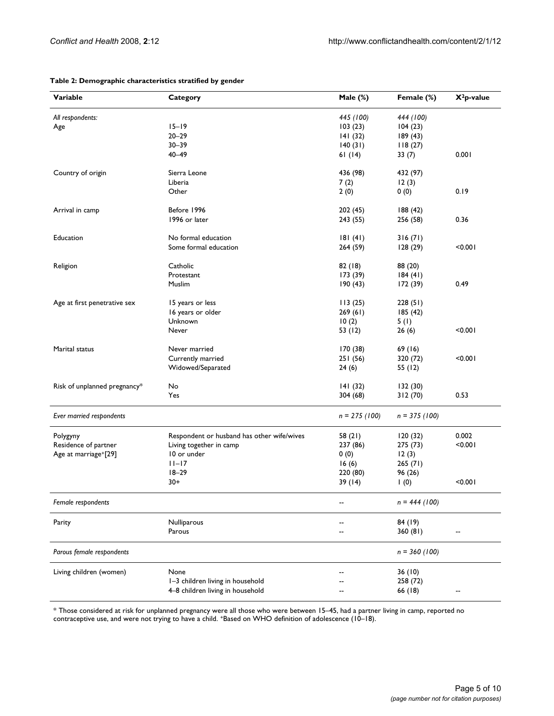| Variable                          | Category                                   | Male (%)        | Female (%)      | $X^2$ p-value |
|-----------------------------------|--------------------------------------------|-----------------|-----------------|---------------|
| All respondents:                  |                                            | 445 (100)       | 444 (100)       |               |
| Age                               | $15 - 19$                                  | 103(23)         | 104(23)         |               |
|                                   | $20 - 29$                                  | 141(32)         | 189(43)         |               |
|                                   | $30 - 39$                                  | 140(31)         | 118(27)         |               |
|                                   | $40 - 49$                                  | 61(14)          | 33(7)           | 0.001         |
| Country of origin                 | Sierra Leone                               | 436 (98)        | 432 (97)        |               |
|                                   | Liberia                                    | 7(2)            | 12(3)           |               |
|                                   | Other                                      | 2(0)            | 0(0)            | 0.19          |
| Arrival in camp                   | Before 1996                                | 202(45)         | 188(42)         |               |
|                                   | 1996 or later                              |                 |                 | 0.36          |
|                                   |                                            | 243 (55)        | 256 (58)        |               |
| Education                         | No formal education                        | 181(41)         | 316(71)         |               |
|                                   | Some formal education                      | 264 (59)        | 128(29)         | < 0.001       |
| Religion                          | Catholic                                   | 82(18)          | 88 (20)         |               |
|                                   | Protestant                                 | 173(39)         | 184(41)         |               |
|                                   | Muslim                                     | 190(43)         | 172(39)         | 0.49          |
| Age at first penetrative sex      | 15 years or less                           | 113(25)         | 228(51)         |               |
|                                   | 16 years or older                          | 269(61)         | 185(42)         |               |
|                                   | Unknown                                    | 10(2)           | 5(1)            |               |
|                                   | Never                                      | 53 (12)         | 26(6)           | < 0.001       |
|                                   |                                            |                 |                 |               |
| Marital status                    | Never married                              | 170 (38)        | 69(16)          |               |
|                                   | Currently married                          | 251(56)         | 320 (72)        | < 0.001       |
|                                   | Widowed/Separated                          | 24(6)           | 55 (12)         |               |
| Risk of unplanned pregnancy*      | No                                         | 141(32)         | 132(30)         |               |
|                                   | Yes                                        | 304(68)         | 312(70)         | 0.53          |
| Ever married respondents          |                                            | $n = 275 (100)$ | $n = 375 (100)$ |               |
| Polygyny                          | Respondent or husband has other wife/wives | 58(21)          | 120(32)         | 0.002         |
| Residence of partner              | Living together in camp                    | 237 (86)        | 275 (73)        | < 0.001       |
| Age at marriage <sup>+</sup> [29] | 10 or under                                | 0(0)            | 12(3)           |               |
|                                   | $11-17$                                    | 16(6)           | 265(71)         |               |
|                                   | $18 - 29$                                  | 220 (80)        | 96 (26)         |               |
|                                   | 30+                                        | 39(14)          | 1(0)            | < 0.001       |
| Female respondents                |                                            |                 | $n = 444 (100)$ |               |
| Parity                            | Nulliparous                                |                 | 84 (19)         |               |
|                                   | Parous                                     |                 | 360(81)         |               |
| Parous female respondents         |                                            |                 | $n = 360 (100)$ |               |
| Living children (women)           | None                                       |                 | 36(10)          |               |
|                                   | I-3 children living in household           |                 | 258 (72)        |               |
|                                   |                                            |                 |                 |               |
|                                   | 4-8 children living in household           | --              | 66 (18)         |               |

## **Table 2: Demographic characteristics stratified by gender**

\* Those considered at risk for unplanned pregnancy were all those who were between 15–45, had a partner living in camp, reported no contraceptive use, and were not trying to have a child. +Based on WHO definition of adolescence (10–18).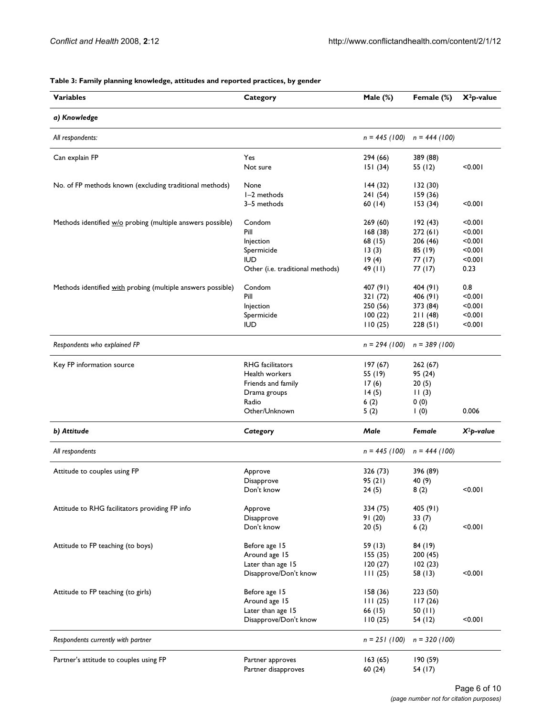| a) Knowledge<br>$n = 445 (100)$<br>All respondents:<br>$n = 444 (100)$<br>Yes<br>389 (88)<br>Can explain FP<br>294 (66)<br>< 0.001<br>Not sure<br>151(34)<br>55 (12)<br>No. of FP methods known (excluding traditional methods)<br>None<br>144(32)<br>132 (30)<br>I-2 methods<br>241 (54)<br>159 (36)<br>60(14)<br>< 0.001<br>3-5 methods<br>153(34)<br>Condom<br>269 (60)<br>Methods identified w/o probing (multiple answers possible)<br>192(43)<br>< 0.001<br>Pill<br>168(38)<br>272(61)<br>< 0.001<br>206 (46)<br>< 0.001<br>Injection<br>68 (15)<br>< 0.001<br>Spermicide<br>13(3)<br>85 (19)<br>< 0.001<br><b>IUD</b><br>19(4)<br>77 (17)<br>77(17)<br>0.23<br>Other (i.e. traditional methods)<br>49 (11)<br>Condom<br>0.8<br>Methods identified with probing (multiple answers possible)<br>407 (91)<br>404 (91)<br>Pill<br>321 (72)<br>406 (91)<br>< 0.001<br>250 (56)<br>373 (84)<br>< 0.001<br>Injection<br>< 0.001<br>Spermicide<br>100(22)<br>211(48)<br>< 0.001<br><b>IUD</b><br>110(25)<br>228(51)<br>Respondents who explained FP<br>$n = 294 (100)$<br>$n = 389(100)$<br><b>RHG</b> facilitators<br>Key FP information source<br>197(67)<br>262(67)<br>Health workers<br>55 (19)<br>95 (24)<br>Friends and family<br>17(6)<br>20(5)<br>14(5)<br>11(3)<br>Drama groups<br>Radio<br>6(2)<br>0(0)<br>Other/Unknown<br>0.006<br>5(2)<br>$\mathsf{I}$ (0)<br>b) Attitude<br>Male<br>Category<br>Female<br>$X^2p$ -value<br>All respondents<br>$n = 445 (100)$<br>$n = 444 (100)$<br>Attitude to couples using FP<br>Approve<br>326 (73)<br>396 (89)<br>95(21)<br>Disapprove<br>40 (9)<br>24(5)<br>< 0.001<br>Don't know<br>8(2)<br>Attitude to RHG facilitators providing FP info<br>334 (75)<br>405 (91)<br>Approve<br>91(20)<br>33(7)<br>Disapprove<br>Don't know<br>< 0.001<br>20(5)<br>6(2)<br>Attitude to FP teaching (to boys)<br>Before age 15<br>59 (13)<br>84 (19)<br>Around age 15<br>155(35)<br>200(45)<br>Later than age 15<br>120(27)<br>102(23)<br>Disapprove/Don't know<br>< 0.001<br>111(25)<br>58 (13)<br>Attitude to FP teaching (to girls)<br>Before age 15<br>158 (36)<br>223 (50)<br>Around age 15<br>111(25)<br>117(26)<br>Later than age 15<br>66 (15)<br>50(11)<br>Disapprove/Don't know<br>< 0.001<br>110(25)<br>54 (12)<br>Respondents currently with partner<br>$n = 251 (100)$<br>$n = 320 (100)$<br>Partner's attitude to couples using FP<br>Partner approves<br>163(65)<br>190 (59)<br>Partner disapproves<br>60(24)<br>54 (17) | <b>Variables</b> |          |             |            |               |
|-----------------------------------------------------------------------------------------------------------------------------------------------------------------------------------------------------------------------------------------------------------------------------------------------------------------------------------------------------------------------------------------------------------------------------------------------------------------------------------------------------------------------------------------------------------------------------------------------------------------------------------------------------------------------------------------------------------------------------------------------------------------------------------------------------------------------------------------------------------------------------------------------------------------------------------------------------------------------------------------------------------------------------------------------------------------------------------------------------------------------------------------------------------------------------------------------------------------------------------------------------------------------------------------------------------------------------------------------------------------------------------------------------------------------------------------------------------------------------------------------------------------------------------------------------------------------------------------------------------------------------------------------------------------------------------------------------------------------------------------------------------------------------------------------------------------------------------------------------------------------------------------------------------------------------------------------------------------------------------------------------------------------------------------------------------------------------------------------------------------------------------------------------------------------------------------------------------------------------------------------------------------------------------------------------------------------------------------------------------------------------------------------------------------------------------------------------------------------------|------------------|----------|-------------|------------|---------------|
|                                                                                                                                                                                                                                                                                                                                                                                                                                                                                                                                                                                                                                                                                                                                                                                                                                                                                                                                                                                                                                                                                                                                                                                                                                                                                                                                                                                                                                                                                                                                                                                                                                                                                                                                                                                                                                                                                                                                                                                                                                                                                                                                                                                                                                                                                                                                                                                                                                                                             |                  | Category | Male $(\%)$ | Female (%) | $X^2$ p-value |
|                                                                                                                                                                                                                                                                                                                                                                                                                                                                                                                                                                                                                                                                                                                                                                                                                                                                                                                                                                                                                                                                                                                                                                                                                                                                                                                                                                                                                                                                                                                                                                                                                                                                                                                                                                                                                                                                                                                                                                                                                                                                                                                                                                                                                                                                                                                                                                                                                                                                             |                  |          |             |            |               |
|                                                                                                                                                                                                                                                                                                                                                                                                                                                                                                                                                                                                                                                                                                                                                                                                                                                                                                                                                                                                                                                                                                                                                                                                                                                                                                                                                                                                                                                                                                                                                                                                                                                                                                                                                                                                                                                                                                                                                                                                                                                                                                                                                                                                                                                                                                                                                                                                                                                                             |                  |          |             |            |               |
|                                                                                                                                                                                                                                                                                                                                                                                                                                                                                                                                                                                                                                                                                                                                                                                                                                                                                                                                                                                                                                                                                                                                                                                                                                                                                                                                                                                                                                                                                                                                                                                                                                                                                                                                                                                                                                                                                                                                                                                                                                                                                                                                                                                                                                                                                                                                                                                                                                                                             |                  |          |             |            |               |
|                                                                                                                                                                                                                                                                                                                                                                                                                                                                                                                                                                                                                                                                                                                                                                                                                                                                                                                                                                                                                                                                                                                                                                                                                                                                                                                                                                                                                                                                                                                                                                                                                                                                                                                                                                                                                                                                                                                                                                                                                                                                                                                                                                                                                                                                                                                                                                                                                                                                             |                  |          |             |            |               |
|                                                                                                                                                                                                                                                                                                                                                                                                                                                                                                                                                                                                                                                                                                                                                                                                                                                                                                                                                                                                                                                                                                                                                                                                                                                                                                                                                                                                                                                                                                                                                                                                                                                                                                                                                                                                                                                                                                                                                                                                                                                                                                                                                                                                                                                                                                                                                                                                                                                                             |                  |          |             |            |               |
|                                                                                                                                                                                                                                                                                                                                                                                                                                                                                                                                                                                                                                                                                                                                                                                                                                                                                                                                                                                                                                                                                                                                                                                                                                                                                                                                                                                                                                                                                                                                                                                                                                                                                                                                                                                                                                                                                                                                                                                                                                                                                                                                                                                                                                                                                                                                                                                                                                                                             |                  |          |             |            |               |
|                                                                                                                                                                                                                                                                                                                                                                                                                                                                                                                                                                                                                                                                                                                                                                                                                                                                                                                                                                                                                                                                                                                                                                                                                                                                                                                                                                                                                                                                                                                                                                                                                                                                                                                                                                                                                                                                                                                                                                                                                                                                                                                                                                                                                                                                                                                                                                                                                                                                             |                  |          |             |            |               |
|                                                                                                                                                                                                                                                                                                                                                                                                                                                                                                                                                                                                                                                                                                                                                                                                                                                                                                                                                                                                                                                                                                                                                                                                                                                                                                                                                                                                                                                                                                                                                                                                                                                                                                                                                                                                                                                                                                                                                                                                                                                                                                                                                                                                                                                                                                                                                                                                                                                                             |                  |          |             |            |               |
|                                                                                                                                                                                                                                                                                                                                                                                                                                                                                                                                                                                                                                                                                                                                                                                                                                                                                                                                                                                                                                                                                                                                                                                                                                                                                                                                                                                                                                                                                                                                                                                                                                                                                                                                                                                                                                                                                                                                                                                                                                                                                                                                                                                                                                                                                                                                                                                                                                                                             |                  |          |             |            |               |
|                                                                                                                                                                                                                                                                                                                                                                                                                                                                                                                                                                                                                                                                                                                                                                                                                                                                                                                                                                                                                                                                                                                                                                                                                                                                                                                                                                                                                                                                                                                                                                                                                                                                                                                                                                                                                                                                                                                                                                                                                                                                                                                                                                                                                                                                                                                                                                                                                                                                             |                  |          |             |            |               |
|                                                                                                                                                                                                                                                                                                                                                                                                                                                                                                                                                                                                                                                                                                                                                                                                                                                                                                                                                                                                                                                                                                                                                                                                                                                                                                                                                                                                                                                                                                                                                                                                                                                                                                                                                                                                                                                                                                                                                                                                                                                                                                                                                                                                                                                                                                                                                                                                                                                                             |                  |          |             |            |               |
|                                                                                                                                                                                                                                                                                                                                                                                                                                                                                                                                                                                                                                                                                                                                                                                                                                                                                                                                                                                                                                                                                                                                                                                                                                                                                                                                                                                                                                                                                                                                                                                                                                                                                                                                                                                                                                                                                                                                                                                                                                                                                                                                                                                                                                                                                                                                                                                                                                                                             |                  |          |             |            |               |
|                                                                                                                                                                                                                                                                                                                                                                                                                                                                                                                                                                                                                                                                                                                                                                                                                                                                                                                                                                                                                                                                                                                                                                                                                                                                                                                                                                                                                                                                                                                                                                                                                                                                                                                                                                                                                                                                                                                                                                                                                                                                                                                                                                                                                                                                                                                                                                                                                                                                             |                  |          |             |            |               |
|                                                                                                                                                                                                                                                                                                                                                                                                                                                                                                                                                                                                                                                                                                                                                                                                                                                                                                                                                                                                                                                                                                                                                                                                                                                                                                                                                                                                                                                                                                                                                                                                                                                                                                                                                                                                                                                                                                                                                                                                                                                                                                                                                                                                                                                                                                                                                                                                                                                                             |                  |          |             |            |               |
|                                                                                                                                                                                                                                                                                                                                                                                                                                                                                                                                                                                                                                                                                                                                                                                                                                                                                                                                                                                                                                                                                                                                                                                                                                                                                                                                                                                                                                                                                                                                                                                                                                                                                                                                                                                                                                                                                                                                                                                                                                                                                                                                                                                                                                                                                                                                                                                                                                                                             |                  |          |             |            |               |
|                                                                                                                                                                                                                                                                                                                                                                                                                                                                                                                                                                                                                                                                                                                                                                                                                                                                                                                                                                                                                                                                                                                                                                                                                                                                                                                                                                                                                                                                                                                                                                                                                                                                                                                                                                                                                                                                                                                                                                                                                                                                                                                                                                                                                                                                                                                                                                                                                                                                             |                  |          |             |            |               |
|                                                                                                                                                                                                                                                                                                                                                                                                                                                                                                                                                                                                                                                                                                                                                                                                                                                                                                                                                                                                                                                                                                                                                                                                                                                                                                                                                                                                                                                                                                                                                                                                                                                                                                                                                                                                                                                                                                                                                                                                                                                                                                                                                                                                                                                                                                                                                                                                                                                                             |                  |          |             |            |               |
|                                                                                                                                                                                                                                                                                                                                                                                                                                                                                                                                                                                                                                                                                                                                                                                                                                                                                                                                                                                                                                                                                                                                                                                                                                                                                                                                                                                                                                                                                                                                                                                                                                                                                                                                                                                                                                                                                                                                                                                                                                                                                                                                                                                                                                                                                                                                                                                                                                                                             |                  |          |             |            |               |
|                                                                                                                                                                                                                                                                                                                                                                                                                                                                                                                                                                                                                                                                                                                                                                                                                                                                                                                                                                                                                                                                                                                                                                                                                                                                                                                                                                                                                                                                                                                                                                                                                                                                                                                                                                                                                                                                                                                                                                                                                                                                                                                                                                                                                                                                                                                                                                                                                                                                             |                  |          |             |            |               |
|                                                                                                                                                                                                                                                                                                                                                                                                                                                                                                                                                                                                                                                                                                                                                                                                                                                                                                                                                                                                                                                                                                                                                                                                                                                                                                                                                                                                                                                                                                                                                                                                                                                                                                                                                                                                                                                                                                                                                                                                                                                                                                                                                                                                                                                                                                                                                                                                                                                                             |                  |          |             |            |               |
|                                                                                                                                                                                                                                                                                                                                                                                                                                                                                                                                                                                                                                                                                                                                                                                                                                                                                                                                                                                                                                                                                                                                                                                                                                                                                                                                                                                                                                                                                                                                                                                                                                                                                                                                                                                                                                                                                                                                                                                                                                                                                                                                                                                                                                                                                                                                                                                                                                                                             |                  |          |             |            |               |
|                                                                                                                                                                                                                                                                                                                                                                                                                                                                                                                                                                                                                                                                                                                                                                                                                                                                                                                                                                                                                                                                                                                                                                                                                                                                                                                                                                                                                                                                                                                                                                                                                                                                                                                                                                                                                                                                                                                                                                                                                                                                                                                                                                                                                                                                                                                                                                                                                                                                             |                  |          |             |            |               |
|                                                                                                                                                                                                                                                                                                                                                                                                                                                                                                                                                                                                                                                                                                                                                                                                                                                                                                                                                                                                                                                                                                                                                                                                                                                                                                                                                                                                                                                                                                                                                                                                                                                                                                                                                                                                                                                                                                                                                                                                                                                                                                                                                                                                                                                                                                                                                                                                                                                                             |                  |          |             |            |               |
|                                                                                                                                                                                                                                                                                                                                                                                                                                                                                                                                                                                                                                                                                                                                                                                                                                                                                                                                                                                                                                                                                                                                                                                                                                                                                                                                                                                                                                                                                                                                                                                                                                                                                                                                                                                                                                                                                                                                                                                                                                                                                                                                                                                                                                                                                                                                                                                                                                                                             |                  |          |             |            |               |
|                                                                                                                                                                                                                                                                                                                                                                                                                                                                                                                                                                                                                                                                                                                                                                                                                                                                                                                                                                                                                                                                                                                                                                                                                                                                                                                                                                                                                                                                                                                                                                                                                                                                                                                                                                                                                                                                                                                                                                                                                                                                                                                                                                                                                                                                                                                                                                                                                                                                             |                  |          |             |            |               |
|                                                                                                                                                                                                                                                                                                                                                                                                                                                                                                                                                                                                                                                                                                                                                                                                                                                                                                                                                                                                                                                                                                                                                                                                                                                                                                                                                                                                                                                                                                                                                                                                                                                                                                                                                                                                                                                                                                                                                                                                                                                                                                                                                                                                                                                                                                                                                                                                                                                                             |                  |          |             |            |               |
|                                                                                                                                                                                                                                                                                                                                                                                                                                                                                                                                                                                                                                                                                                                                                                                                                                                                                                                                                                                                                                                                                                                                                                                                                                                                                                                                                                                                                                                                                                                                                                                                                                                                                                                                                                                                                                                                                                                                                                                                                                                                                                                                                                                                                                                                                                                                                                                                                                                                             |                  |          |             |            |               |
|                                                                                                                                                                                                                                                                                                                                                                                                                                                                                                                                                                                                                                                                                                                                                                                                                                                                                                                                                                                                                                                                                                                                                                                                                                                                                                                                                                                                                                                                                                                                                                                                                                                                                                                                                                                                                                                                                                                                                                                                                                                                                                                                                                                                                                                                                                                                                                                                                                                                             |                  |          |             |            |               |
|                                                                                                                                                                                                                                                                                                                                                                                                                                                                                                                                                                                                                                                                                                                                                                                                                                                                                                                                                                                                                                                                                                                                                                                                                                                                                                                                                                                                                                                                                                                                                                                                                                                                                                                                                                                                                                                                                                                                                                                                                                                                                                                                                                                                                                                                                                                                                                                                                                                                             |                  |          |             |            |               |
|                                                                                                                                                                                                                                                                                                                                                                                                                                                                                                                                                                                                                                                                                                                                                                                                                                                                                                                                                                                                                                                                                                                                                                                                                                                                                                                                                                                                                                                                                                                                                                                                                                                                                                                                                                                                                                                                                                                                                                                                                                                                                                                                                                                                                                                                                                                                                                                                                                                                             |                  |          |             |            |               |
|                                                                                                                                                                                                                                                                                                                                                                                                                                                                                                                                                                                                                                                                                                                                                                                                                                                                                                                                                                                                                                                                                                                                                                                                                                                                                                                                                                                                                                                                                                                                                                                                                                                                                                                                                                                                                                                                                                                                                                                                                                                                                                                                                                                                                                                                                                                                                                                                                                                                             |                  |          |             |            |               |
|                                                                                                                                                                                                                                                                                                                                                                                                                                                                                                                                                                                                                                                                                                                                                                                                                                                                                                                                                                                                                                                                                                                                                                                                                                                                                                                                                                                                                                                                                                                                                                                                                                                                                                                                                                                                                                                                                                                                                                                                                                                                                                                                                                                                                                                                                                                                                                                                                                                                             |                  |          |             |            |               |
|                                                                                                                                                                                                                                                                                                                                                                                                                                                                                                                                                                                                                                                                                                                                                                                                                                                                                                                                                                                                                                                                                                                                                                                                                                                                                                                                                                                                                                                                                                                                                                                                                                                                                                                                                                                                                                                                                                                                                                                                                                                                                                                                                                                                                                                                                                                                                                                                                                                                             |                  |          |             |            |               |
|                                                                                                                                                                                                                                                                                                                                                                                                                                                                                                                                                                                                                                                                                                                                                                                                                                                                                                                                                                                                                                                                                                                                                                                                                                                                                                                                                                                                                                                                                                                                                                                                                                                                                                                                                                                                                                                                                                                                                                                                                                                                                                                                                                                                                                                                                                                                                                                                                                                                             |                  |          |             |            |               |
|                                                                                                                                                                                                                                                                                                                                                                                                                                                                                                                                                                                                                                                                                                                                                                                                                                                                                                                                                                                                                                                                                                                                                                                                                                                                                                                                                                                                                                                                                                                                                                                                                                                                                                                                                                                                                                                                                                                                                                                                                                                                                                                                                                                                                                                                                                                                                                                                                                                                             |                  |          |             |            |               |
|                                                                                                                                                                                                                                                                                                                                                                                                                                                                                                                                                                                                                                                                                                                                                                                                                                                                                                                                                                                                                                                                                                                                                                                                                                                                                                                                                                                                                                                                                                                                                                                                                                                                                                                                                                                                                                                                                                                                                                                                                                                                                                                                                                                                                                                                                                                                                                                                                                                                             |                  |          |             |            |               |
|                                                                                                                                                                                                                                                                                                                                                                                                                                                                                                                                                                                                                                                                                                                                                                                                                                                                                                                                                                                                                                                                                                                                                                                                                                                                                                                                                                                                                                                                                                                                                                                                                                                                                                                                                                                                                                                                                                                                                                                                                                                                                                                                                                                                                                                                                                                                                                                                                                                                             |                  |          |             |            |               |
|                                                                                                                                                                                                                                                                                                                                                                                                                                                                                                                                                                                                                                                                                                                                                                                                                                                                                                                                                                                                                                                                                                                                                                                                                                                                                                                                                                                                                                                                                                                                                                                                                                                                                                                                                                                                                                                                                                                                                                                                                                                                                                                                                                                                                                                                                                                                                                                                                                                                             |                  |          |             |            |               |
|                                                                                                                                                                                                                                                                                                                                                                                                                                                                                                                                                                                                                                                                                                                                                                                                                                                                                                                                                                                                                                                                                                                                                                                                                                                                                                                                                                                                                                                                                                                                                                                                                                                                                                                                                                                                                                                                                                                                                                                                                                                                                                                                                                                                                                                                                                                                                                                                                                                                             |                  |          |             |            |               |
|                                                                                                                                                                                                                                                                                                                                                                                                                                                                                                                                                                                                                                                                                                                                                                                                                                                                                                                                                                                                                                                                                                                                                                                                                                                                                                                                                                                                                                                                                                                                                                                                                                                                                                                                                                                                                                                                                                                                                                                                                                                                                                                                                                                                                                                                                                                                                                                                                                                                             |                  |          |             |            |               |
|                                                                                                                                                                                                                                                                                                                                                                                                                                                                                                                                                                                                                                                                                                                                                                                                                                                                                                                                                                                                                                                                                                                                                                                                                                                                                                                                                                                                                                                                                                                                                                                                                                                                                                                                                                                                                                                                                                                                                                                                                                                                                                                                                                                                                                                                                                                                                                                                                                                                             |                  |          |             |            |               |
|                                                                                                                                                                                                                                                                                                                                                                                                                                                                                                                                                                                                                                                                                                                                                                                                                                                                                                                                                                                                                                                                                                                                                                                                                                                                                                                                                                                                                                                                                                                                                                                                                                                                                                                                                                                                                                                                                                                                                                                                                                                                                                                                                                                                                                                                                                                                                                                                                                                                             |                  |          |             |            |               |
|                                                                                                                                                                                                                                                                                                                                                                                                                                                                                                                                                                                                                                                                                                                                                                                                                                                                                                                                                                                                                                                                                                                                                                                                                                                                                                                                                                                                                                                                                                                                                                                                                                                                                                                                                                                                                                                                                                                                                                                                                                                                                                                                                                                                                                                                                                                                                                                                                                                                             |                  |          |             |            |               |
|                                                                                                                                                                                                                                                                                                                                                                                                                                                                                                                                                                                                                                                                                                                                                                                                                                                                                                                                                                                                                                                                                                                                                                                                                                                                                                                                                                                                                                                                                                                                                                                                                                                                                                                                                                                                                                                                                                                                                                                                                                                                                                                                                                                                                                                                                                                                                                                                                                                                             |                  |          |             |            |               |
|                                                                                                                                                                                                                                                                                                                                                                                                                                                                                                                                                                                                                                                                                                                                                                                                                                                                                                                                                                                                                                                                                                                                                                                                                                                                                                                                                                                                                                                                                                                                                                                                                                                                                                                                                                                                                                                                                                                                                                                                                                                                                                                                                                                                                                                                                                                                                                                                                                                                             |                  |          |             |            |               |
|                                                                                                                                                                                                                                                                                                                                                                                                                                                                                                                                                                                                                                                                                                                                                                                                                                                                                                                                                                                                                                                                                                                                                                                                                                                                                                                                                                                                                                                                                                                                                                                                                                                                                                                                                                                                                                                                                                                                                                                                                                                                                                                                                                                                                                                                                                                                                                                                                                                                             |                  |          |             |            |               |

#### **Table 3: Family planning knowledge, attitudes and reported practices, by gender**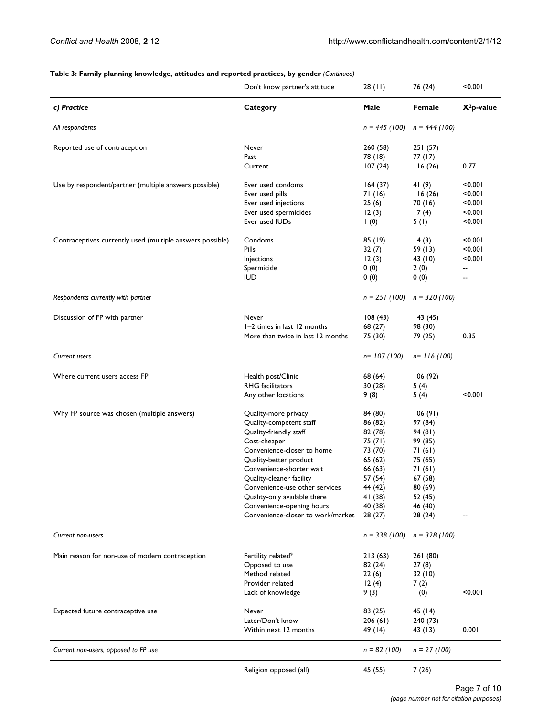#### **Table 3: Family planning knowledge, attitudes and reported practices, by gender** *(Continued)*

|                                                           | Don't know partner's attitude     | 28(11)             | 76(24)          | 50.001                   |
|-----------------------------------------------------------|-----------------------------------|--------------------|-----------------|--------------------------|
| c) Practice                                               | Category                          | Male               | Female          | $X^2$ p-value            |
| All respondents                                           |                                   | $n = 445 (100)$    | $n = 444 (100)$ |                          |
| Reported use of contraception                             | Never                             | 260(58)            | 251(57)         |                          |
|                                                           | Past                              | 78 (18)            | 77 (17)         |                          |
|                                                           | Current                           | 107(24)            | 116(26)         | 0.77                     |
| Use by respondent/partner (multiple answers possible)     | Ever used condoms                 | 164(37)            | 41(9)           | < 0.001                  |
|                                                           | Ever used pills                   | 71 (16)            | 116(26)         | < 0.001                  |
|                                                           | Ever used injections              | 25(6)              | 70 (16)         | < 0.001                  |
|                                                           | Ever used spermicides             | 12(3)              | 17(4)           | < 0.001                  |
|                                                           | Ever used IUDs                    | $\left( 0 \right)$ | 5(1)            | < 0.001                  |
| Contraceptives currently used (multiple answers possible) | Condoms                           | 85 (19)            | 14(3)           | < 0.001                  |
|                                                           | Pills                             | 32(7)              | 59 (13)         | < 0.001                  |
|                                                           | Injections                        | 12(3)              | 43 (10)         | < 0.001                  |
|                                                           | Spermicide                        | 0(0)               | 2(0)            | --                       |
|                                                           | <b>IUD</b>                        | 0(0)               | 0(0)            | $\overline{\phantom{a}}$ |
| Respondents currently with partner                        |                                   | $n = 251(100)$     | $n = 320 (100)$ |                          |
| Discussion of FP with partner                             | Never                             | 108(43)            | 143(45)         |                          |
|                                                           | I-2 times in last 12 months       | 68 (27)            | 98 (30)         |                          |
|                                                           | More than twice in last 12 months | 75 (30)            | 79 (25)         | 0.35                     |
| <b>Current users</b>                                      |                                   | $n = 107(100)$     | $n=$ 116 (100)  |                          |
|                                                           |                                   |                    |                 |                          |
| Where current users access FP                             | Health post/Clinic                | 68 (64)            | 106(92)         |                          |
|                                                           | <b>RHG</b> facilitators           | 30(28)             | 5(4)            |                          |
|                                                           | Any other locations               | 9(8)               | 5(4)            | < 0.001                  |
| Why FP source was chosen (multiple answers)               | Quality-more privacy              | 84 (80)            | 106(91)         |                          |
|                                                           | Quality-competent staff           | 86 (82)            | 97 (84)         |                          |
|                                                           | Quality-friendly staff            | 82 (78)            | 94 (81)         |                          |
|                                                           | Cost-cheaper                      | 75 (71)            | 99 (85)         |                          |
|                                                           | Convenience-closer to home        | 73 (70)            | 71 (61)         |                          |
|                                                           | Quality-better product            | 65 (62)            | 75 (65)         |                          |
|                                                           | Convenience-shorter wait          | 66 (63)            | 71(61)          |                          |
|                                                           | Quality-cleaner facility          | 57 (54)            | 67 (58)         |                          |
|                                                           | Convenience-use other services    | 44 (42)            | 80 (69)         |                          |
|                                                           | Quality-only available there      | 41 (38)            | 52 (45)         |                          |
|                                                           | Convenience-opening hours         | 40 (38)            | 46 (40)         |                          |
|                                                           | Convenience-closer to work/market | 28(27)             | 28 (24)         |                          |
| Current non-users                                         |                                   | $n = 338(100)$     | $n = 328(100)$  |                          |
| Main reason for non-use of modern contraception           | Fertility related*                | 213(63)            | 261(80)         |                          |
|                                                           | Opposed to use                    | 82 (24)            | 27(8)           |                          |
|                                                           | Method related                    | 22(6)              | 32(10)          |                          |
|                                                           | Provider related                  | 12(4)              | 7(2)            |                          |
|                                                           | Lack of knowledge                 | 9(3)               | $\vert$ (0)     | < 0.001                  |
| Expected future contraceptive use                         | Never                             | 83 (25)            | 45 (14)         |                          |
|                                                           | Later/Don't know                  | 206(61)            | 240 (73)        |                          |
|                                                           | Within next 12 months             | 49 (14)            | 43 (13)         | 0.001                    |
| Current non-users, opposed to FP use                      |                                   | $n = 82 (100)$     | $n = 27 (100)$  |                          |
|                                                           | Religion opposed (all)            | 45 (55)            | 7(26)           |                          |
|                                                           |                                   |                    |                 |                          |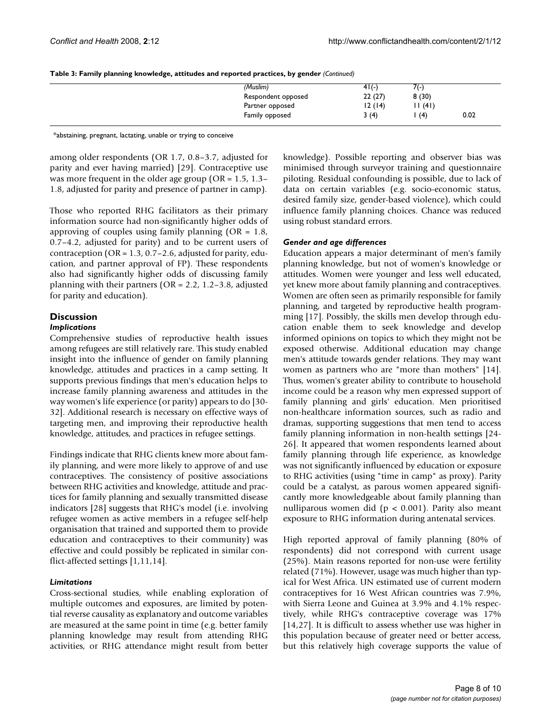| Table 3: Family planning knowledge, attitudes and reported practices, by gender (Continued) |  |  |  |
|---------------------------------------------------------------------------------------------|--|--|--|
|---------------------------------------------------------------------------------------------|--|--|--|

| (Muslim)           | $41(-)$ | 7(-)  |      |
|--------------------|---------|-------|------|
| Respondent opposed | 22(27)  | 8(30) |      |
| Partner opposed    | 12(14)  | 1(41) |      |
| Family opposed     | 3(4)    | (4)   | 0.02 |
|                    |         |       |      |

\*abstaining, pregnant, lactating, unable or trying to conceive

among older respondents (OR 1.7, 0.8–3.7, adjusted for parity and ever having married) [29]. Contraceptive use was more frequent in the older age group (OR = 1.5, 1.3– 1.8, adjusted for parity and presence of partner in camp).

Those who reported RHG facilitators as their primary information source had non-significantly higher odds of approving of couples using family planning  $(OR = 1.8,$ 0.7–4.2, adjusted for parity) and to be current users of contraception ( $OR = 1.3$ , 0.7–2.6, adjusted for parity, education, and partner approval of FP). These respondents also had significantly higher odds of discussing family planning with their partners ( $OR = 2.2$ , 1.2–3.8, adjusted for parity and education).

## **Discussion**

## *Implications*

Comprehensive studies of reproductive health issues among refugees are still relatively rare. This study enabled insight into the influence of gender on family planning knowledge, attitudes and practices in a camp setting. It supports previous findings that men's education helps to increase family planning awareness and attitudes in the way women's life experience (or parity) appears to do [30- 32]. Additional research is necessary on effective ways of targeting men, and improving their reproductive health knowledge, attitudes, and practices in refugee settings.

Findings indicate that RHG clients knew more about family planning, and were more likely to approve of and use contraceptives. The consistency of positive associations between RHG activities and knowledge, attitude and practices for family planning and sexually transmitted disease indicators [28] suggests that RHG's model (i.e. involving refugee women as active members in a refugee self-help organisation that trained and supported them to provide education and contraceptives to their community) was effective and could possibly be replicated in similar conflict-affected settings [1,11,14].

## *Limitations*

Cross-sectional studies, while enabling exploration of multiple outcomes and exposures, are limited by potential reverse causality as explanatory and outcome variables are measured at the same point in time (e.g. better family planning knowledge may result from attending RHG activities, or RHG attendance might result from better knowledge). Possible reporting and observer bias was minimised through surveyor training and questionnaire piloting. Residual confounding is possible, due to lack of data on certain variables (e.g. socio-economic status, desired family size, gender-based violence), which could influence family planning choices. Chance was reduced using robust standard errors.

## *Gender and age differences*

Education appears a major determinant of men's family planning knowledge, but not of women's knowledge or attitudes. Women were younger and less well educated, yet knew more about family planning and contraceptives. Women are often seen as primarily responsible for family planning, and targeted by reproductive health programming [17]. Possibly, the skills men develop through education enable them to seek knowledge and develop informed opinions on topics to which they might not be exposed otherwise. Additional education may change men's attitude towards gender relations. They may want women as partners who are "more than mothers" [14]. Thus, women's greater ability to contribute to household income could be a reason why men expressed support of family planning and girls' education. Men prioritised non-healthcare information sources, such as radio and dramas, supporting suggestions that men tend to access family planning information in non-health settings [24- 26]. It appeared that women respondents learned about family planning through life experience, as knowledge was not significantly influenced by education or exposure to RHG activities (using "time in camp" as proxy). Parity could be a catalyst, as parous women appeared significantly more knowledgeable about family planning than nulliparous women did (p < 0.001). Parity also meant exposure to RHG information during antenatal services.

High reported approval of family planning (80% of respondents) did not correspond with current usage (25%). Main reasons reported for non-use were fertility related (71%). However, usage was much higher than typical for West Africa. UN estimated use of current modern contraceptives for 16 West African countries was 7.9%, with Sierra Leone and Guinea at 3.9% and 4.1% respectively, while RHG's contraceptive coverage was 17% [14,27]. It is difficult to assess whether use was higher in this population because of greater need or better access, but this relatively high coverage supports the value of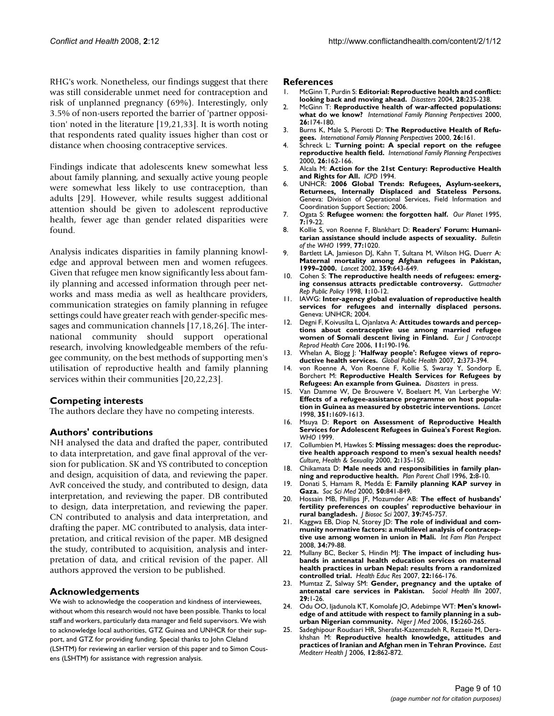RHG's work. Nonetheless, our findings suggest that there was still considerable unmet need for contraception and risk of unplanned pregnancy (69%). Interestingly, only 3.5% of non-users reported the barrier of 'partner opposition' noted in the literature [19,21,33]. It is worth noting that respondents rated quality issues higher than cost or distance when choosing contraceptive services.

Findings indicate that adolescents knew somewhat less about family planning, and sexually active young people were somewhat less likely to use contraception, than adults [29]. However, while results suggest additional attention should be given to adolescent reproductive health, fewer age than gender related disparities were found.

Analysis indicates disparities in family planning knowledge and approval between men and women refugees. Given that refugee men know significantly less about family planning and accessed information through peer networks and mass media as well as healthcare providers, communication strategies on family planning in refugee settings could have greater reach with gender-specific messages and communication channels [17,18,26]. The international community should support operational research, involving knowledgeable members of the refugee community, on the best methods of supporting men's utilisation of reproductive health and family planning services within their communities [20,22,23].

## **Competing interests**

The authors declare they have no competing interests.

## **Authors' contributions**

NH analysed the data and drafted the paper, contributed to data interpretation, and gave final approval of the version for publication. SK and YS contributed to conception and design, acquisition of data, and reviewing the paper. AvR conceived the study, and contributed to design, data interpretation, and reviewing the paper. DB contributed to design, data interpretation, and reviewing the paper. CN contributed to analysis and data interpretation, and drafting the paper. MC contributed to analysis, data interpretation, and critical revision of the paper. MB designed the study, contributed to acquisition, analysis and interpretation of data, and critical revision of the paper. All authors approved the version to be published.

## **Acknowledgements**

We wish to acknowledge the cooperation and kindness of interviewees, without whom this research would not have been possible. Thanks to local staff and workers, particularly data manager and field supervisors. We wish to acknowledge local authorities, GTZ Guinea and UNHCR for their support, and GTZ for providing funding. Special thanks to John Cleland (LSHTM) for reviewing an earlier version of this paper and to Simon Cousens (LSHTM) for assistance with regression analysis.

#### **References**

- 1. McGinn T, Purdin S: **[Editorial: Reproductive health and conflict:](http://www.ncbi.nlm.nih.gov/entrez/query.fcgi?cmd=Retrieve&db=PubMed&dopt=Abstract&list_uids=15344938) [looking back and moving ahead.](http://www.ncbi.nlm.nih.gov/entrez/query.fcgi?cmd=Retrieve&db=PubMed&dopt=Abstract&list_uids=15344938)** *Disasters* 2004, **28:**235-238.
- 2. McGinn T: **Reproductive health of war-affected populations: what do we know?** *International Family Planning Perspectives* 2000, **26:**174-180.
- 3. Burns K, Male S, Pierotti D: **The Reproductive Health of Refugees.** *International Family Planning Perspectives* 2000, **26:**161.
- 4. Schreck L: **Turning point: A special report on the refugee reproductive health field.** *International Family Planning Perspectives* 2000, **26:**162-166.
- 5. Alcala M: **Action for the 21st Century: Reproductive Health and Rights for All.** *ICPD* 1994.
- 6. UNHCR: **2006 Global Trends: Refugees, Asylum-seekers, Returnees, Internally Displaced and Stateless Persons.** Geneva: Division of Operational Services, Field Information and Coordination Support Section; 2006.
- 7. Ogata S: **[Refugee women: the forgotten half.](http://www.ncbi.nlm.nih.gov/entrez/query.fcgi?cmd=Retrieve&db=PubMed&dopt=Abstract&list_uids=12349274)** *Our Planet* 1995, **7:**19-22.
- 8. Kollie S, von Roenne F, Blankhart D: **Readers' Forum: Humanitarian assistance should include aspects of sexuality.** *Bulletin of the WHO* 1999, **77:**1020.
- 9. Bartlett LA, Jamieson DJ, Kahn T, Sultana M, Wilson HG, Duerr A: **[Maternal mortality among Afghan refugees in Pakistan,](http://www.ncbi.nlm.nih.gov/entrez/query.fcgi?cmd=Retrieve&db=PubMed&dopt=Abstract&list_uids=11879858) [1999–2000.](http://www.ncbi.nlm.nih.gov/entrez/query.fcgi?cmd=Retrieve&db=PubMed&dopt=Abstract&list_uids=11879858)** *Lancet* 2002, **359:**643-649.
- 10. Cohen S: **[The reproductive health needs of refugees: emerg](http://www.ncbi.nlm.nih.gov/entrez/query.fcgi?cmd=Retrieve&db=PubMed&dopt=Abstract&list_uids=12348740)[ing consensus attracts predictable controversy.](http://www.ncbi.nlm.nih.gov/entrez/query.fcgi?cmd=Retrieve&db=PubMed&dopt=Abstract&list_uids=12348740)** *Guttmacher Rep Public Policy* 1998, **1:**10-12.
- 11. IAWG: **Inter-agency global evaluation of reproductive health services for refugees and internally displaced persons.** Geneva: UNHCR; 2004.
- 12. Degni F, Koivusilta L, Ojanlatva A: **[Attitudes towards and percep](http://www.ncbi.nlm.nih.gov/entrez/query.fcgi?cmd=Retrieve&db=PubMed&dopt=Abstract&list_uids=17056449)[tions about contraceptive use among married refugee](http://www.ncbi.nlm.nih.gov/entrez/query.fcgi?cmd=Retrieve&db=PubMed&dopt=Abstract&list_uids=17056449) [women of Somali descent living in Finland.](http://www.ncbi.nlm.nih.gov/entrez/query.fcgi?cmd=Retrieve&db=PubMed&dopt=Abstract&list_uids=17056449)** *Eur J Contracept Reprod Health Care* 2006, **11:**190-196.
- 13. Whelan A, Blogg J: **'Halfway people': Refugee views of reproductive health services.** *Global Public Health* 2007, **2:**373-394.
- 14. von Roenne A, Von Roenne F, Kollie S, Swaray Y, Sondorp E, Borchert M: **Reproductive Health Services for Refugees by Refugees: An example from Guinea.** *Disasters* in press.
- 15. Van Damme W, De Brouwere V, Boelaert M, Van Lerberghe W: **[Effects of a refugee-assistance programme on host popula](http://www.ncbi.nlm.nih.gov/entrez/query.fcgi?cmd=Retrieve&db=PubMed&dopt=Abstract&list_uids=9620714)[tion in Guinea as measured by obstetric interventions.](http://www.ncbi.nlm.nih.gov/entrez/query.fcgi?cmd=Retrieve&db=PubMed&dopt=Abstract&list_uids=9620714)** *Lancet* 1998, **351:**1609-1613.
- 16. Msuya D: **Report on Assessment of Reproductive Health Services for Adolescent Refugees in Guinea's Forest Region.** *WHO* 1999.
- 17. Collumbien M, Hawkes S: **[Missing messages: does the reproduc](http://www.ncbi.nlm.nih.gov/entrez/query.fcgi?cmd=Retrieve&db=PubMed&dopt=Abstract&list_uids=12295879)[tive health approach respond to men's sexual health needs?](http://www.ncbi.nlm.nih.gov/entrez/query.fcgi?cmd=Retrieve&db=PubMed&dopt=Abstract&list_uids=12295879)** *Culture, Health & Sexuality* 2000, **2:**135-150.
- 18. Chikamata D: **[Male needs and responsibilities in family plan](http://www.ncbi.nlm.nih.gov/entrez/query.fcgi?cmd=Retrieve&db=PubMed&dopt=Abstract&list_uids=12291945)[ning and reproductive health.](http://www.ncbi.nlm.nih.gov/entrez/query.fcgi?cmd=Retrieve&db=PubMed&dopt=Abstract&list_uids=12291945)** *Plan Parent Chall* 1996, **2:**8-10.
- 19. Donati S, Hamam R, Medda E: **[Family planning KAP survey in](http://www.ncbi.nlm.nih.gov/entrez/query.fcgi?cmd=Retrieve&db=PubMed&dopt=Abstract&list_uids=10695981) [Gaza.](http://www.ncbi.nlm.nih.gov/entrez/query.fcgi?cmd=Retrieve&db=PubMed&dopt=Abstract&list_uids=10695981)** *Soc Sci Med* 2000, **50:**841-849.
- 20. Hossain MB, Phillips JF, Mozumder AB: **[The effect of husbands'](http://www.ncbi.nlm.nih.gov/entrez/query.fcgi?cmd=Retrieve&db=PubMed&dopt=Abstract&list_uids=17107632) [fertility preferences on couples' reproductive behaviour in](http://www.ncbi.nlm.nih.gov/entrez/query.fcgi?cmd=Retrieve&db=PubMed&dopt=Abstract&list_uids=17107632) [rural bangladesh.](http://www.ncbi.nlm.nih.gov/entrez/query.fcgi?cmd=Retrieve&db=PubMed&dopt=Abstract&list_uids=17107632)** *J Biosoc Sci* 2007, **39:**745-757.
- Kaggwa EB, Diop N, Storey JD: [The role of individual and com](http://www.ncbi.nlm.nih.gov/entrez/query.fcgi?cmd=Retrieve&db=PubMed&dopt=Abstract&list_uids=18644759)**[munity normative factors: a multilevel analysis of contracep](http://www.ncbi.nlm.nih.gov/entrez/query.fcgi?cmd=Retrieve&db=PubMed&dopt=Abstract&list_uids=18644759)[tive use among women in union in Mali.](http://www.ncbi.nlm.nih.gov/entrez/query.fcgi?cmd=Retrieve&db=PubMed&dopt=Abstract&list_uids=18644759)** *Int Fam Plan Perspect* 2008, **34:**79-88.
- 22. Mullany BC, Becker S, Hindin MJ: **[The impact of including hus](http://www.ncbi.nlm.nih.gov/entrez/query.fcgi?cmd=Retrieve&db=PubMed&dopt=Abstract&list_uids=16855015)[bands in antenatal health education services on maternal](http://www.ncbi.nlm.nih.gov/entrez/query.fcgi?cmd=Retrieve&db=PubMed&dopt=Abstract&list_uids=16855015) health practices in urban Nepal: results from a randomized [controlled trial.](http://www.ncbi.nlm.nih.gov/entrez/query.fcgi?cmd=Retrieve&db=PubMed&dopt=Abstract&list_uids=16855015)** *Health Educ Res* 2007, **22:**166-176.
- 23. Mumtaz Z, Salway SM: **[Gender, pregnancy and the uptake of](http://www.ncbi.nlm.nih.gov/entrez/query.fcgi?cmd=Retrieve&db=PubMed&dopt=Abstract&list_uids=17286703) [antenatal care services in Pakistan.](http://www.ncbi.nlm.nih.gov/entrez/query.fcgi?cmd=Retrieve&db=PubMed&dopt=Abstract&list_uids=17286703)** *Sociol Health Illn* 2007, **29:**1-26.
- 24. Odu OO, Ijadunola KT, Komolafe JO, Adebimpe WT: **[Men's knowl](http://www.ncbi.nlm.nih.gov/entrez/query.fcgi?cmd=Retrieve&db=PubMed&dopt=Abstract&list_uids=17111755)[edge of and attitude with respect to family planning in a sub](http://www.ncbi.nlm.nih.gov/entrez/query.fcgi?cmd=Retrieve&db=PubMed&dopt=Abstract&list_uids=17111755)[urban Nigerian community.](http://www.ncbi.nlm.nih.gov/entrez/query.fcgi?cmd=Retrieve&db=PubMed&dopt=Abstract&list_uids=17111755)** *Niger J Med* 2006, **15:**260-265.
- 25. Sadeghipour Roudsari HR, Sherafat-Kazemzadeh R, Rezaeie M, Derakhshan M: **[Reproductive health knowledge, attitudes and](http://www.ncbi.nlm.nih.gov/entrez/query.fcgi?cmd=Retrieve&db=PubMed&dopt=Abstract&list_uids=17333834) [practices of Iranian and Afghan men in Tehran Province.](http://www.ncbi.nlm.nih.gov/entrez/query.fcgi?cmd=Retrieve&db=PubMed&dopt=Abstract&list_uids=17333834)** *East Mediterr Health J* 2006, **12:**862-872.